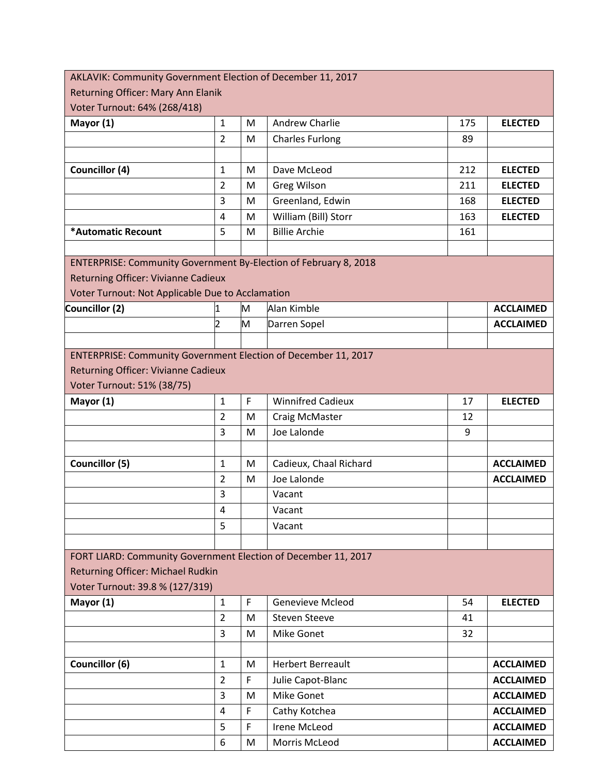| AKLAVIK: Community Government Election of December 11, 2017      |                  |              |                          |     |                  |  |
|------------------------------------------------------------------|------------------|--------------|--------------------------|-----|------------------|--|
| Returning Officer: Mary Ann Elanik                               |                  |              |                          |     |                  |  |
| Voter Turnout: 64% (268/418)                                     |                  |              |                          |     |                  |  |
| Mayor (1)                                                        | $\mathbf{1}$     | M            | Andrew Charlie           | 175 | <b>ELECTED</b>   |  |
|                                                                  | $\overline{2}$   | M            | <b>Charles Furlong</b>   | 89  |                  |  |
|                                                                  |                  |              |                          |     |                  |  |
| Councillor (4)                                                   | $\mathbf{1}$     | M            | Dave McLeod              | 212 | <b>ELECTED</b>   |  |
|                                                                  | $\overline{2}$   | M            | <b>Greg Wilson</b>       | 211 | <b>ELECTED</b>   |  |
|                                                                  | 3                | M            | Greenland, Edwin         | 168 | <b>ELECTED</b>   |  |
|                                                                  | $\overline{4}$   | M            | William (Bill) Storr     | 163 | <b>ELECTED</b>   |  |
| *Automatic Recount                                               | 5                | M            | <b>Billie Archie</b>     | 161 |                  |  |
|                                                                  |                  |              |                          |     |                  |  |
| ENTERPRISE: Community Government By-Election of February 8, 2018 |                  |              |                          |     |                  |  |
| Returning Officer: Vivianne Cadieux                              |                  |              |                          |     |                  |  |
| Voter Turnout: Not Applicable Due to Acclamation                 |                  |              |                          |     |                  |  |
| Councillor (2)                                                   | 1                | M            | Alan Kimble              |     | <b>ACCLAIMED</b> |  |
|                                                                  | $\overline{2}$   | M            | Darren Sopel             |     | <b>ACCLAIMED</b> |  |
|                                                                  |                  |              |                          |     |                  |  |
| ENTERPRISE: Community Government Election of December 11, 2017   |                  |              |                          |     |                  |  |
| Returning Officer: Vivianne Cadieux                              |                  |              |                          |     |                  |  |
| Voter Turnout: 51% (38/75)                                       |                  |              |                          |     |                  |  |
| Mayor (1)                                                        | $\mathbf{1}$     | $\mathsf{F}$ | <b>Winnifred Cadieux</b> | 17  | <b>ELECTED</b>   |  |
|                                                                  | $\overline{2}$   | M            | Craig McMaster           | 12  |                  |  |
|                                                                  | 3                | M            | Joe Lalonde              | 9   |                  |  |
|                                                                  |                  |              |                          |     |                  |  |
| Councillor (5)                                                   | $\mathbf{1}$     | M            | Cadieux, Chaal Richard   |     | <b>ACCLAIMED</b> |  |
|                                                                  | $\overline{2}$   | M            | Joe Lalonde              |     | <b>ACCLAIMED</b> |  |
|                                                                  | 3                |              | Vacant                   |     |                  |  |
|                                                                  | 4                |              | Vacant                   |     |                  |  |
|                                                                  | 5                |              | Vacant                   |     |                  |  |
|                                                                  |                  |              |                          |     |                  |  |
| FORT LIARD: Community Government Election of December 11, 2017   |                  |              |                          |     |                  |  |
| Returning Officer: Michael Rudkin                                |                  |              |                          |     |                  |  |
| Voter Turnout: 39.8 % (127/319)                                  |                  |              |                          |     |                  |  |
| Mayor (1)                                                        | $\mathbf{1}$     | F            | Genevieve Mcleod         | 54  | <b>ELECTED</b>   |  |
|                                                                  | $\overline{2}$   | M            | <b>Steven Steeve</b>     | 41  |                  |  |
|                                                                  | 3                | M            | Mike Gonet               | 32  |                  |  |
|                                                                  |                  |              |                          |     |                  |  |
| Councillor (6)                                                   | $\mathbf{1}$     | M            | <b>Herbert Berreault</b> |     | <b>ACCLAIMED</b> |  |
|                                                                  | $\overline{2}$   | F            | Julie Capot-Blanc        |     | <b>ACCLAIMED</b> |  |
|                                                                  | 3                | M            | <b>Mike Gonet</b>        |     | <b>ACCLAIMED</b> |  |
|                                                                  | 4                | F            | Cathy Kotchea            |     | <b>ACCLAIMED</b> |  |
|                                                                  | 5                | $\mathsf F$  | Irene McLeod             |     | <b>ACCLAIMED</b> |  |
|                                                                  | $\boldsymbol{6}$ | M            | Morris McLeod            |     | <b>ACCLAIMED</b> |  |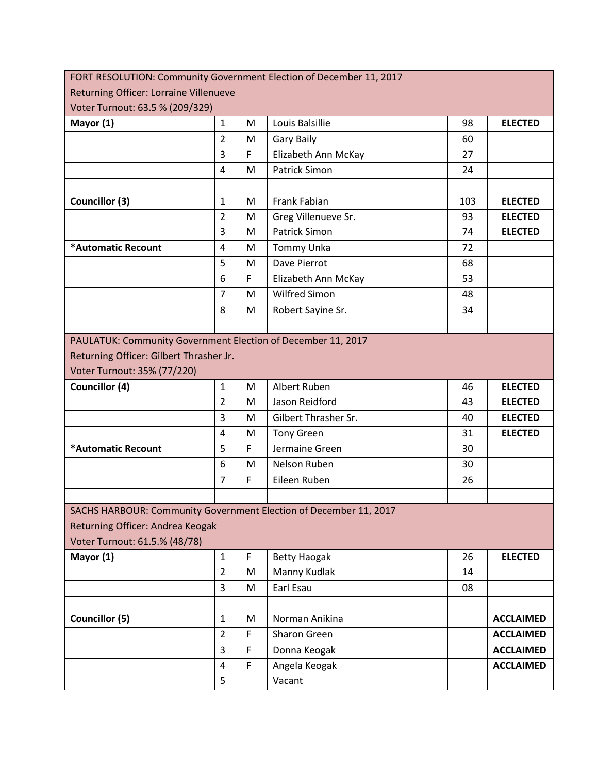| FORT RESOLUTION: Community Government Election of December 11, 2017                                                                    |                |             |                      |     |                  |
|----------------------------------------------------------------------------------------------------------------------------------------|----------------|-------------|----------------------|-----|------------------|
| Returning Officer: Lorraine Villenueve                                                                                                 |                |             |                      |     |                  |
| Voter Turnout: 63.5 % (209/329)                                                                                                        |                |             |                      |     |                  |
| Mayor (1)                                                                                                                              | $\mathbf{1}$   | M           | Louis Balsillie      | 98  | <b>ELECTED</b>   |
|                                                                                                                                        | $\overline{2}$ | M           | <b>Gary Baily</b>    | 60  |                  |
|                                                                                                                                        | 3              | F           | Elizabeth Ann McKay  | 27  |                  |
|                                                                                                                                        | 4              | M           | Patrick Simon        | 24  |                  |
|                                                                                                                                        |                |             |                      |     |                  |
| <b>Councillor (3)</b>                                                                                                                  | $\mathbf{1}$   | M           | <b>Frank Fabian</b>  | 103 | <b>ELECTED</b>   |
|                                                                                                                                        | $\overline{2}$ | M           | Greg Villenueve Sr.  | 93  | <b>ELECTED</b>   |
|                                                                                                                                        | 3              | M           | <b>Patrick Simon</b> | 74  | <b>ELECTED</b>   |
| *Automatic Recount                                                                                                                     | $\overline{4}$ | M           | Tommy Unka           | 72  |                  |
|                                                                                                                                        | 5              | M           | Dave Pierrot         | 68  |                  |
|                                                                                                                                        | 6              | F           | Elizabeth Ann McKay  | 53  |                  |
|                                                                                                                                        | $\overline{7}$ | M           | <b>Wilfred Simon</b> | 48  |                  |
|                                                                                                                                        | 8              | M           | Robert Sayine Sr.    | 34  |                  |
|                                                                                                                                        |                |             |                      |     |                  |
| PAULATUK: Community Government Election of December 11, 2017<br>Returning Officer: Gilbert Thrasher Jr.<br>Voter Turnout: 35% (77/220) |                |             |                      |     |                  |
| Councillor (4)                                                                                                                         | $\mathbf{1}$   | M           | Albert Ruben         | 46  | <b>ELECTED</b>   |
|                                                                                                                                        | $\overline{2}$ | M           | Jason Reidford       | 43  | <b>ELECTED</b>   |
|                                                                                                                                        | 3              | M           | Gilbert Thrasher Sr. | 40  | <b>ELECTED</b>   |
|                                                                                                                                        | $\overline{4}$ | M           | <b>Tony Green</b>    | 31  | <b>ELECTED</b>   |
| *Automatic Recount                                                                                                                     | 5              | F           | Jermaine Green       | 30  |                  |
|                                                                                                                                        | 6              | M           | Nelson Ruben         | 30  |                  |
|                                                                                                                                        | $\overline{7}$ | F           | Eileen Ruben         | 26  |                  |
|                                                                                                                                        |                |             |                      |     |                  |
| SACHS HARBOUR: Community Government Election of December 11, 2017                                                                      |                |             |                      |     |                  |
| Returning Officer: Andrea Keogak                                                                                                       |                |             |                      |     |                  |
| Voter Turnout: 61.5.% (48/78)                                                                                                          |                |             |                      |     |                  |
| Mayor (1)                                                                                                                              | $\mathbf{1}$   | $\mathsf F$ | <b>Betty Haogak</b>  | 26  | <b>ELECTED</b>   |
|                                                                                                                                        | $\overline{2}$ | M           | Manny Kudlak         | 14  |                  |
|                                                                                                                                        | 3              | M           | Earl Esau            | 08  |                  |
|                                                                                                                                        |                |             |                      |     |                  |
| <b>Councillor (5)</b>                                                                                                                  | $\mathbf{1}$   | M           | Norman Anikina       |     | <b>ACCLAIMED</b> |
|                                                                                                                                        | $\overline{2}$ | F           | Sharon Green         |     | <b>ACCLAIMED</b> |
|                                                                                                                                        | 3              | F           | Donna Keogak         |     | <b>ACCLAIMED</b> |
|                                                                                                                                        | 4              | F           | Angela Keogak        |     | <b>ACCLAIMED</b> |
|                                                                                                                                        | 5              |             | Vacant               |     |                  |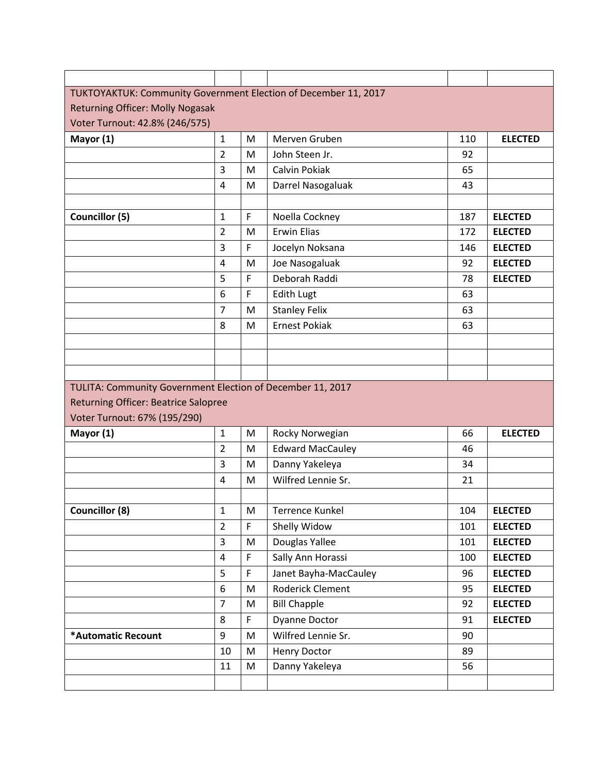| TUKTOYAKTUK: Community Government Election of December 11, 2017 |                |    |                         |     |                |  |  |
|-----------------------------------------------------------------|----------------|----|-------------------------|-----|----------------|--|--|
| <b>Returning Officer: Molly Nogasak</b>                         |                |    |                         |     |                |  |  |
| Voter Turnout: 42.8% (246/575)                                  |                |    |                         |     |                |  |  |
| Mayor (1)                                                       | $\mathbf{1}$   | M  | Merven Gruben           | 110 | <b>ELECTED</b> |  |  |
|                                                                 | $\overline{2}$ | M  | John Steen Jr.          | 92  |                |  |  |
|                                                                 | 3              | M  | Calvin Pokiak           | 65  |                |  |  |
|                                                                 | 4              | M  | Darrel Nasogaluak       | 43  |                |  |  |
|                                                                 |                |    |                         |     |                |  |  |
| Councillor (5)                                                  | $\mathbf{1}$   | F  | Noella Cockney          | 187 | <b>ELECTED</b> |  |  |
|                                                                 | $\overline{2}$ | M  | <b>Erwin Elias</b>      | 172 | <b>ELECTED</b> |  |  |
|                                                                 | 3              | F  | Jocelyn Noksana         | 146 | <b>ELECTED</b> |  |  |
|                                                                 | 4              | M  | Joe Nasogaluak          | 92  | <b>ELECTED</b> |  |  |
|                                                                 | 5              | F  | Deborah Raddi           | 78  | <b>ELECTED</b> |  |  |
|                                                                 | 6              | F  | <b>Edith Lugt</b>       | 63  |                |  |  |
|                                                                 | $\overline{7}$ | M  | <b>Stanley Felix</b>    | 63  |                |  |  |
|                                                                 | 8              | M  | <b>Ernest Pokiak</b>    | 63  |                |  |  |
|                                                                 |                |    |                         |     |                |  |  |
|                                                                 |                |    |                         |     |                |  |  |
|                                                                 |                |    |                         |     |                |  |  |
| TULITA: Community Government Election of December 11, 2017      |                |    |                         |     |                |  |  |
| <b>Returning Officer: Beatrice Salopree</b>                     |                |    |                         |     |                |  |  |
| Voter Turnout: 67% (195/290)                                    |                |    |                         |     |                |  |  |
| Mayor (1)                                                       | $\mathbf{1}$   | M  | Rocky Norwegian         | 66  | <b>ELECTED</b> |  |  |
|                                                                 | $\overline{2}$ | M  | <b>Edward MacCauley</b> | 46  |                |  |  |
|                                                                 | 3              | M  | Danny Yakeleya          | 34  |                |  |  |
|                                                                 | 4              | M  | Wilfred Lennie Sr.      | 21  |                |  |  |
|                                                                 |                |    |                         |     |                |  |  |
| <b>Councillor (8)</b>                                           | $\mathbf 1$    | M  | Terrence Kunkel         | 104 | <b>ELECTED</b> |  |  |
|                                                                 | $\overline{2}$ | F. | Shelly Widow            | 101 | <b>ELECTED</b> |  |  |
|                                                                 | 3              | M  | Douglas Yallee          | 101 | <b>ELECTED</b> |  |  |
|                                                                 | 4              | F  | Sally Ann Horassi       | 100 | <b>ELECTED</b> |  |  |
|                                                                 | 5              | F  | Janet Bayha-MacCauley   | 96  | <b>ELECTED</b> |  |  |
|                                                                 | 6              | M  | <b>Roderick Clement</b> | 95  | <b>ELECTED</b> |  |  |
|                                                                 | $\overline{7}$ | M  | <b>Bill Chapple</b>     | 92  | <b>ELECTED</b> |  |  |
|                                                                 | 8              | F  | <b>Dyanne Doctor</b>    | 91  | <b>ELECTED</b> |  |  |
| *Automatic Recount                                              | 9              | M  | Wilfred Lennie Sr.      | 90  |                |  |  |
|                                                                 |                |    |                         |     |                |  |  |
|                                                                 | 10             | M  | <b>Henry Doctor</b>     | 89  |                |  |  |
|                                                                 | 11             | M  | Danny Yakeleya          | 56  |                |  |  |